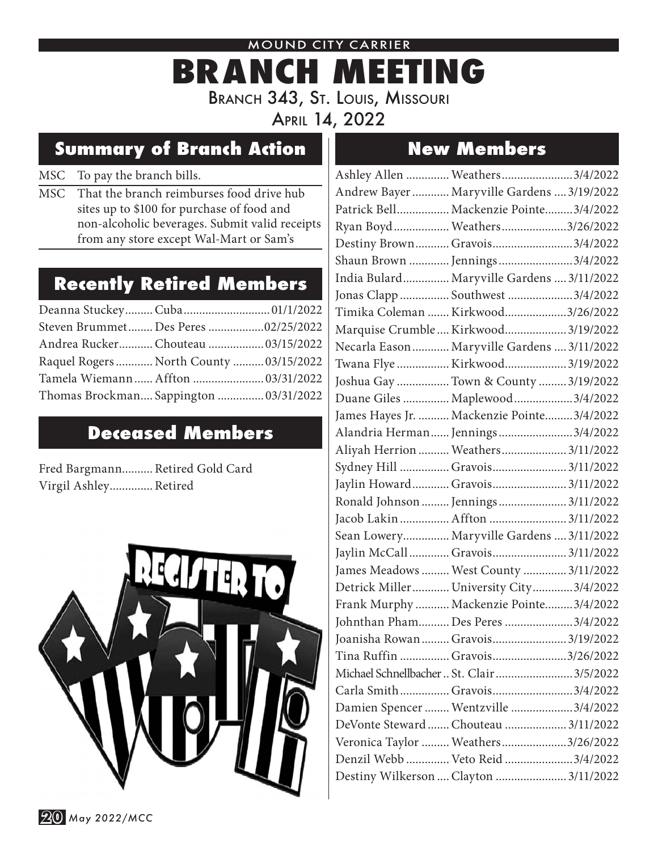#### MOUND CITY CARRIER

# **BRANCH MEETING** Branch 343, St. Louis, Missouri April 14, 2022

# **Summary of Branch Action New Members**

### MSC To pay the branch bills.

MSC That the branch reimburses food drive hub sites up to \$100 for purchase of food and non-alcoholic beverages. Submit valid receipts from any store except Wal-Mart or Sam's

## **Recently Retired Members**

| Deanna Stuckey Cuba 01/1/2022           |  |
|-----------------------------------------|--|
| Steven Brummet Des Peres 02/25/2022     |  |
| Andrea Rucker Chouteau  03/15/2022      |  |
| Raquel Rogers  North County  03/15/2022 |  |
| Tamela Wiemann Affton  03/31/2022       |  |
| Thomas Brockman Sappington  03/31/2022  |  |

## **Deceased Members**

Fred Bargmann.......... Retired Gold Card Virgil Ashley.............. Retired



| Ashley Allen  Weathers 3/4/2022             |  |
|---------------------------------------------|--|
| Andrew Bayer  Maryville Gardens  3/19/2022  |  |
| Patrick Bell Mackenzie Pointe3/4/2022       |  |
| Ryan Boyd  Weathers 3/26/2022               |  |
| Destiny Brown Gravois3/4/2022               |  |
| Shaun Brown  Jennings 3/4/2022              |  |
| India Bulard Maryville Gardens  3/11/2022   |  |
| Jonas Clapp  Southwest 3/4/2022             |  |
| Timika Coleman  Kirkwood3/26/2022           |  |
| Marquise Crumble  Kirkwood  3/19/2022       |  |
| Necarla Eason  Maryville Gardens  3/11/2022 |  |
| Twana Flye  Kirkwood 3/19/2022              |  |
| Joshua Gay  Town & County  3/19/2022        |  |
| Duane Giles  Maplewood  3/4/2022            |  |
| James Hayes Jr.  Mackenzie Pointe3/4/2022   |  |
| Alandria Herman  Jennings 3/4/2022          |  |
| Aliyah Herrion  Weathers  3/11/2022         |  |
| Sydney Hill  Gravois 3/11/2022              |  |
| Jaylin Howard Gravois 3/11/2022             |  |
| Ronald Johnson  Jennings  3/11/2022         |  |
| Jacob Lakin  Affton  3/11/2022              |  |
| Sean Lowery Maryville Gardens  3/11/2022    |  |
| Jaylin McCall Gravois 3/11/2022             |  |
| James Meadows  West County  3/11/2022       |  |
| Detrick Miller University City3/4/2022      |  |
| Frank Murphy  Mackenzie Pointe3/4/2022      |  |
| Johnthan Pham Des Peres 3/4/2022            |  |
| Joanisha Rowan  Gravois  3/19/2022          |  |
| Tina Ruffin  Gravois3/26/2022               |  |
| Michael Schnellbacher  St. Clair 3/5/2022   |  |
| Carla Smith Gravois3/4/2022                 |  |
| Damien Spencer  Wentzville 3/4/2022         |  |
| DeVonte Steward  Chouteau  3/11/2022        |  |
| Veronica Taylor  Weathers 3/26/2022         |  |
| Denzil Webb  Veto Reid 3/4/2022             |  |
| Destiny Wilkerson  Clayton  3/11/2022       |  |

**20** *May 2022/MCC*